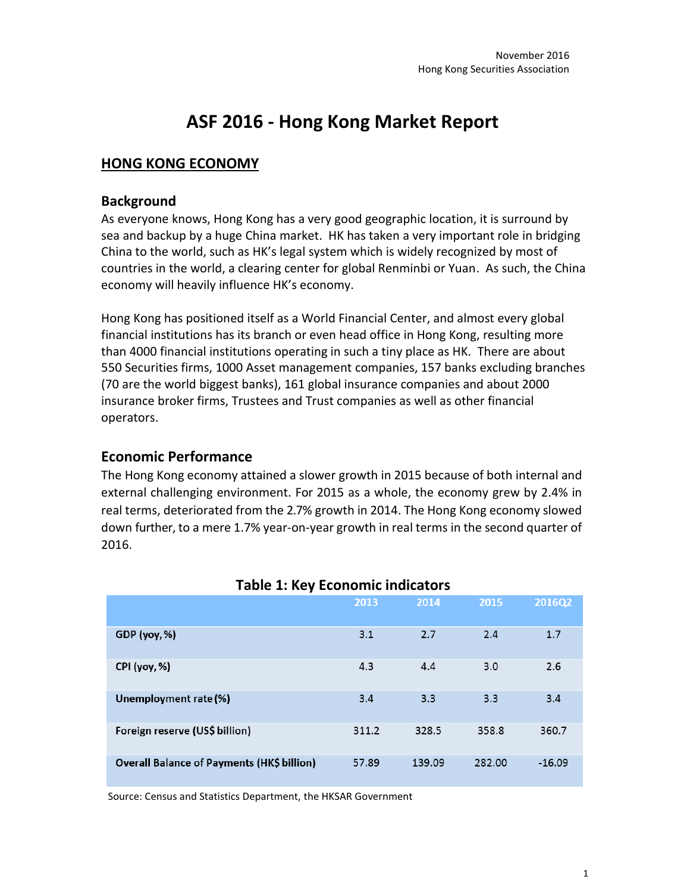# **ASF 2016 - Hong Kong Market Report**

## **HONG KONG ECONOMY**

#### **Background**

As everyone knows, Hong Kong has a very good geographic location, it is surround by sea and backup by a huge China market. HK has taken a very important role in bridging China to the world, such as HK's legal system which is widely recognized by most of countries in the world, a clearing center for global Renminbi or Yuan. As such, the China economy will heavily influence HK's economy.

Hong Kong has positioned itself as a World Financial Center, and almost every global financial institutions has its branch or even head office in Hong Kong, resulting more than 4000 financial institutions operating in such a tiny place as HK. There are about 550 Securities firms, 1000 Asset management companies, 157 banks excluding branches (70 are the world biggest banks), 161 global insurance companies and about 2000 insurance broker firms, Trustees and Trust companies as well as other financial operators.

## **Economic Performance**

The Hong Kong economy attained a slower growth in 2015 because of both internal and external challenging environment. For 2015 as a whole, the economy grew by 2.4% in real terms, deteriorated from the 2.7% growth in 2014. The Hong Kong economy slowed down further, to a mere 1.7% year-on-year growth in real terms in the second quarter of 2016.

|                                                   | 2013  | 2014   | 2015   | 2016Q2   |  |  |
|---------------------------------------------------|-------|--------|--------|----------|--|--|
| GDP (yoy, %)                                      | 3.1   | 2.7    | 2.4    | 1.7      |  |  |
| CPI (yoy, %)                                      | 4.3   | 4.4    | 3.0    | 2.6      |  |  |
| Unemployment rate (%)                             | 3.4   | 3.3    | 3.3    | 3.4      |  |  |
| Foreign reserve (US\$ billion)                    | 311.2 | 328.5  | 358.8  | 360.7    |  |  |
| <b>Overall Balance of Payments (HK\$ billion)</b> | 57.89 | 139.09 | 282.00 | $-16.09$ |  |  |

## **Table 1: Key Economic indicators**

Source: Census and Statistics Department, the HKSAR Government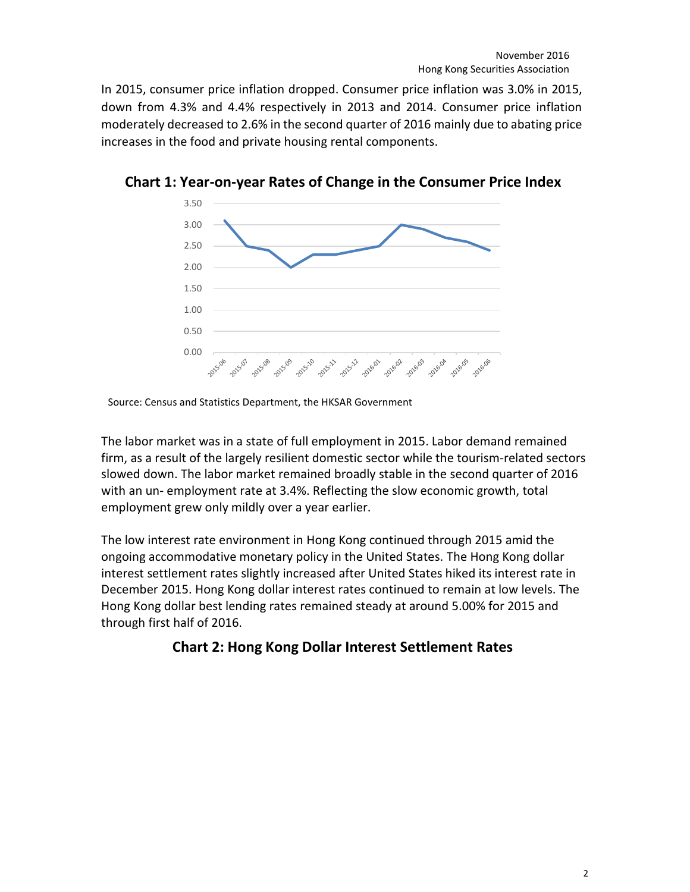In 2015, consumer price inflation dropped. Consumer price inflation was 3.0% in 2015, down from 4.3% and 4.4% respectively in 2013 and 2014. Consumer price inflation moderately decreased to 2.6% in the second quarter of 2016 mainly due to abating price increases in the food and private housing rental components.



**Chart 1: Year-on-year Rates of Change in the Consumer Price Index**

Source: Census and Statistics Department, the HKSAR Government

The labor market was in a state of full employment in 2015. Labor demand remained firm, as a result of the largely resilient domestic sector while the tourism-related sectors slowed down. The labor market remained broadly stable in the second quarter of 2016 with an un- employment rate at 3.4%. Reflecting the slow economic growth, total employment grew only mildly over a year earlier.

The low interest rate environment in Hong Kong continued through 2015 amid the ongoing accommodative monetary policy in the United States. The Hong Kong dollar interest settlement rates slightly increased after United States hiked its interest rate in December 2015. Hong Kong dollar interest rates continued to remain at low levels. The Hong Kong dollar best lending rates remained steady at around 5.00% for 2015 and through first half of 2016.

# **Chart 2: Hong Kong Dollar Interest Settlement Rates**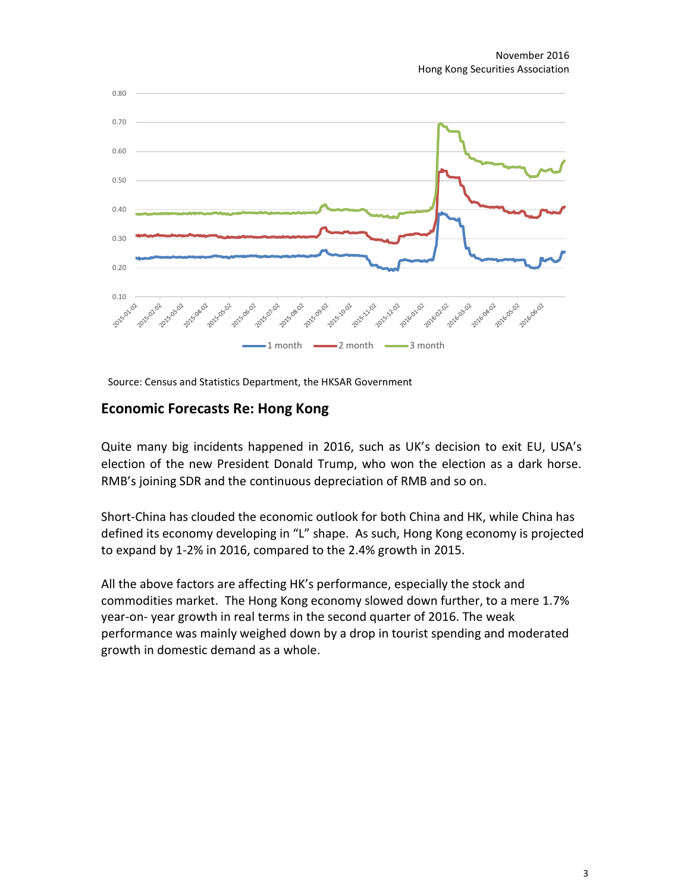

Source: Census and Statistics Department, the HKSAR Government

#### **Economic Forecasts Re: Hong Kong**

Quite many big incidents happened in 2016, such as UK's decision to exit EU, USA's election of the new President Donald Trump, who won the election as a dark horse. RMB's joining SDR and the continuous depreciation of RMB and so on.

Short-China has clouded the economic outlook for both China and HK, while China has defined its economy developing in "L" shape. As such, Hong Kong economy is projected to expand by 1-2% in 2016, compared to the 2.4% growth in 2015.

All the above factors are affecting HK's performance, especially the stock and commodities market. The Hong Kong economy slowed down further, to a mere 1.7% year-on- year growth in real terms in the second quarter of 2016. The weak performance was mainly weighed down by a drop in tourist spending and moderated growth in domestic demand as a whole.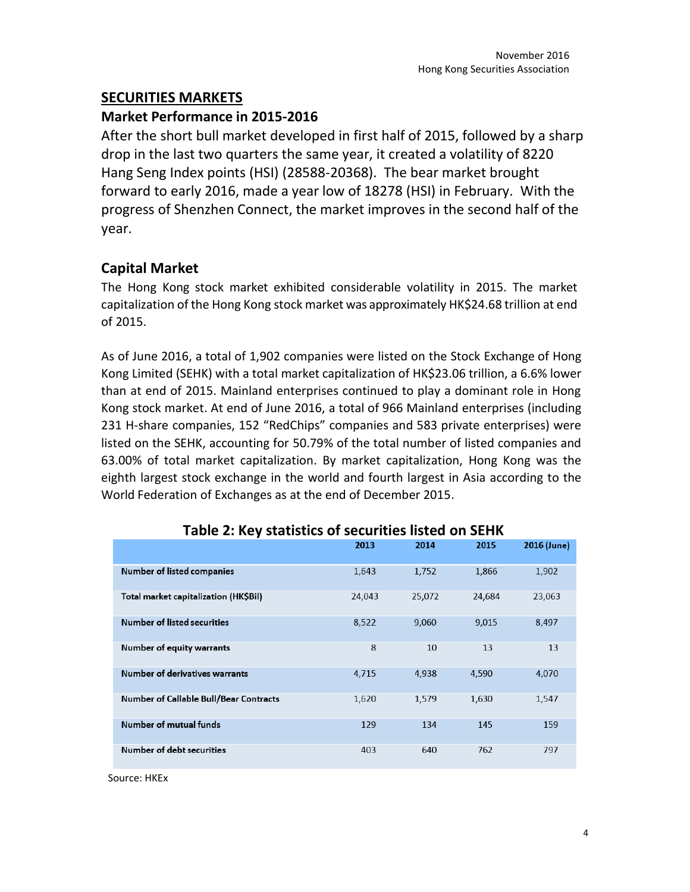### **SECURITIES MARKETS**

#### **Market Performance in 2015-2016**

After the short bull market developed in first half of 2015, followed by a sharp drop in the last two quarters the same year, it created a volatility of 8220 Hang Seng Index points (HSI) (28588-20368). The bear market brought forward to early 2016, made a year low of 18278 (HSI) in February. With the progress of Shenzhen Connect, the market improves in the second half of the year.

## **Capital Market**

The Hong Kong stock market exhibited considerable volatility in 2015. The market capitalization of the Hong Kong stock market was approximately HK\$24.68 trillion at end of 2015.

As of June 2016, a total of 1,902 companies were listed on the Stock Exchange of Hong Kong Limited (SEHK) with a total market capitalization of HK\$23.06 trillion, a 6.6% lower than at end of 2015. Mainland enterprises continued to play a dominant role in Hong Kong stock market. At end of June 2016, a total of 966 Mainland enterprises (including 231 H-share companies, 152 "RedChips" companies and 583 private enterprises) were listed on the SEHK, accounting for 50.79% of the total number of listed companies and 63.00% of total market capitalization. By market capitalization, Hong Kong was the eighth largest stock exchange in the world and fourth largest in Asia according to the World Federation of Exchanges as at the end of December 2015.

|                                               | 2013   | 2014   | 2015   | 2016 (June) |
|-----------------------------------------------|--------|--------|--------|-------------|
| <b>Number of listed companies</b>             | 1,643  | 1,752  | 1,866  | 1,902       |
| Total market capitalization (HK\$Bil)         | 24,043 | 25,072 | 24,684 | 23,063      |
| Number of listed securities                   | 8,522  | 9,060  | 9,015  | 8,497       |
| Number of equity warrants                     | 8      | 10     | 13     | 13          |
| <b>Number of derivatives warrants</b>         | 4,715  | 4,938  | 4,590  | 4,070       |
| <b>Number of Callable Bull/Bear Contracts</b> | 1,620  | 1,579  | 1,630  | 1,547       |
| Number of mutual funds                        | 129    | 134    | 145    | 159         |
| Number of debt securities                     | 403    | 640    | 762    | 797         |

## **Table 2: Key statistics of securities listed on SEHK**

Source: HKEx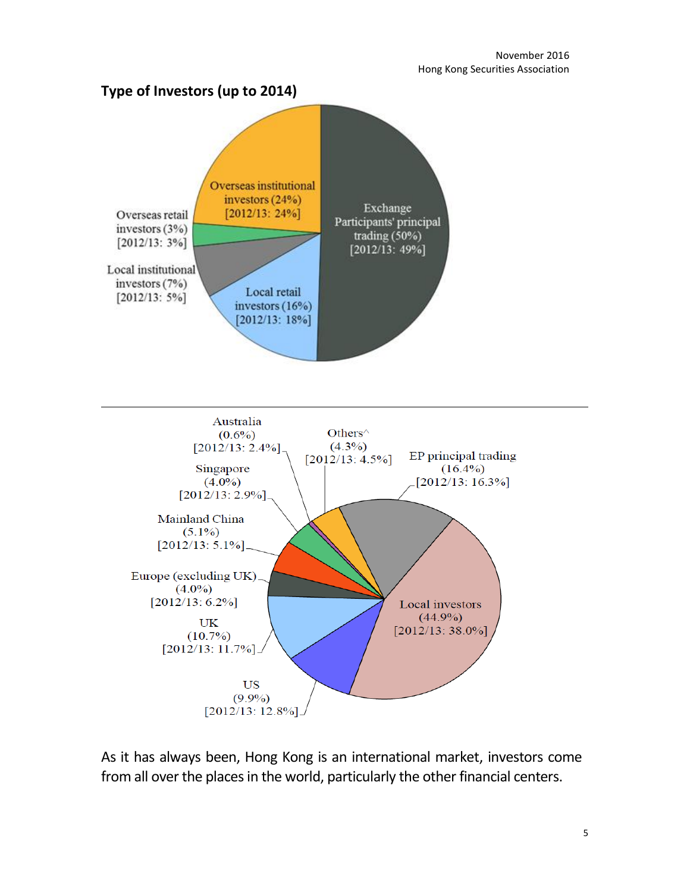



As it has always been, Hong Kong is an international market, investors come from all over the places in the world, particularly the other financial centers.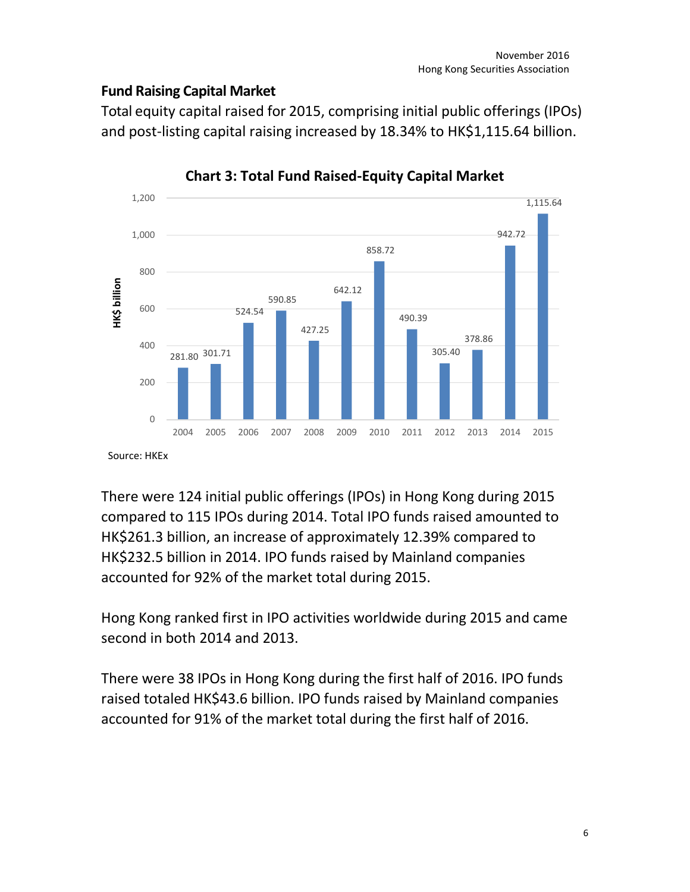## **Fund Raising Capital Market**

Total equity capital raised for 2015, comprising initial public offerings (IPOs) and post-listing capital raising increased by 18.34% to HK\$1,115.64 billion.



**Chart 3: Total Fund Raised-Equity Capital Market**

Source: HKEx

There were 124 initial public offerings (IPOs) in Hong Kong during 2015 compared to 115 IPOs during 2014. Total IPO funds raised amounted to HK\$261.3 billion, an increase of approximately 12.39% compared to HK\$232.5 billion in 2014. IPO funds raised by Mainland companies accounted for 92% of the market total during 2015.

Hong Kong ranked first in IPO activities worldwide during 2015 and came second in both 2014 and 2013.

There were 38 IPOs in Hong Kong during the first half of 2016. IPO funds raised totaled HK\$43.6 billion. IPO funds raised by Mainland companies accounted for 91% of the market total during the first half of 2016.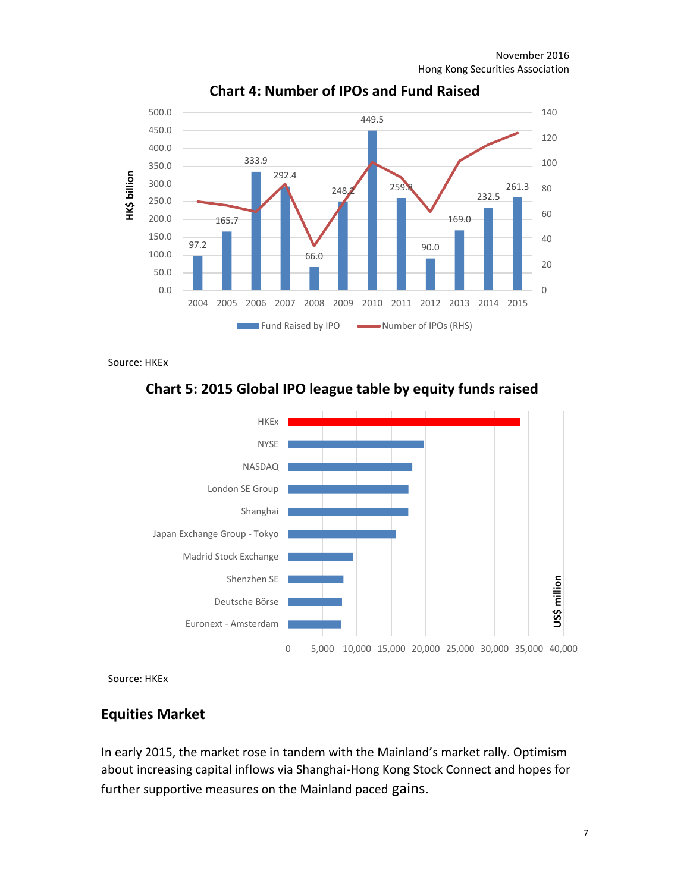

## **Chart 4: Number of IPOs and Fund Raised**

Source: HKEx





Source: HKEx

#### **Equities Market**

In early 2015, the market rose in tandem with the Mainland's market rally. Optimism about increasing capital inflows via Shanghai-Hong Kong Stock Connect and hopes for further supportive measures on the Mainland paced gains.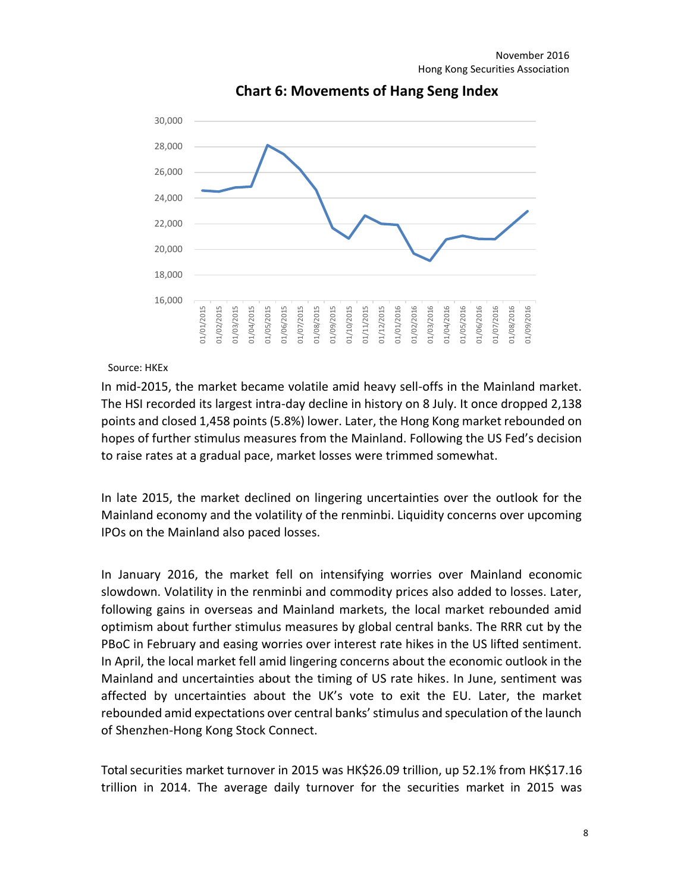

## **Chart 6: Movements of Hang Seng Index**

Source: HKEx

In mid-2015, the market became volatile amid heavy sell-offs in the Mainland market. The HSI recorded its largest intra-day decline in history on 8 July. It once dropped 2,138 points and closed 1,458 points (5.8%) lower. Later, the Hong Kong market rebounded on hopes of further stimulus measures from the Mainland. Following the US Fed's decision to raise rates at a gradual pace, market losses were trimmed somewhat.

In late 2015, the market declined on lingering uncertainties over the outlook for the Mainland economy and the volatility of the renminbi. Liquidity concerns over upcoming IPOs on the Mainland also paced losses.

In January 2016, the market fell on intensifying worries over Mainland economic slowdown. Volatility in the renminbi and commodity prices also added to losses. Later, following gains in overseas and Mainland markets, the local market rebounded amid optimism about further stimulus measures by global central banks. The RRR cut by the PBoC in February and easing worries over interest rate hikes in the US lifted sentiment. In April, the local market fell amid lingering concerns about the economic outlook in the Mainland and uncertainties about the timing of US rate hikes. In June, sentiment was affected by uncertainties about the UK's vote to exit the EU. Later, the market rebounded amid expectations over central banks' stimulus and speculation of the launch of Shenzhen-Hong Kong Stock Connect.

Total securities market turnover in 2015 was HK\$26.09 trillion, up 52.1% from HK\$17.16 trillion in 2014. The average daily turnover for the securities market in 2015 was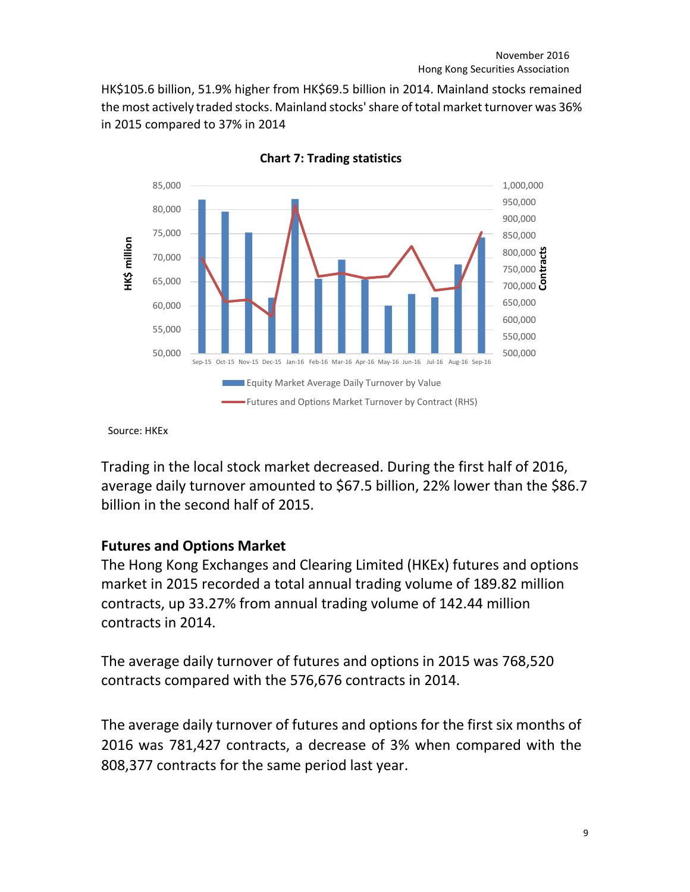HK\$105.6 billion, 51.9% higher from HK\$69.5 billion in 2014. Mainland stocks remained the most actively traded stocks. Mainland stocks'share of total market turnover was 36% in 2015 compared to 37% in 2014



**Chart 7: Trading statistics**

Source: HKEx

Trading in the local stock market decreased. During the first half of 2016, average daily turnover amounted to \$67.5 billion, 22% lower than the \$86.7 billion in the second half of 2015.

## **Futures and Options Market**

The Hong Kong Exchanges and Clearing Limited (HKEx) futures and options market in 2015 recorded a total annual trading volume of 189.82 million contracts, up 33.27% from annual trading volume of 142.44 million contracts in 2014.

The average daily turnover of futures and options in 2015 was 768,520 contracts compared with the 576,676 contracts in 2014.

The average daily turnover of futures and options for the first six months of 2016 was 781,427 contracts, a decrease of 3% when compared with the 808,377 contracts for the same period last year.